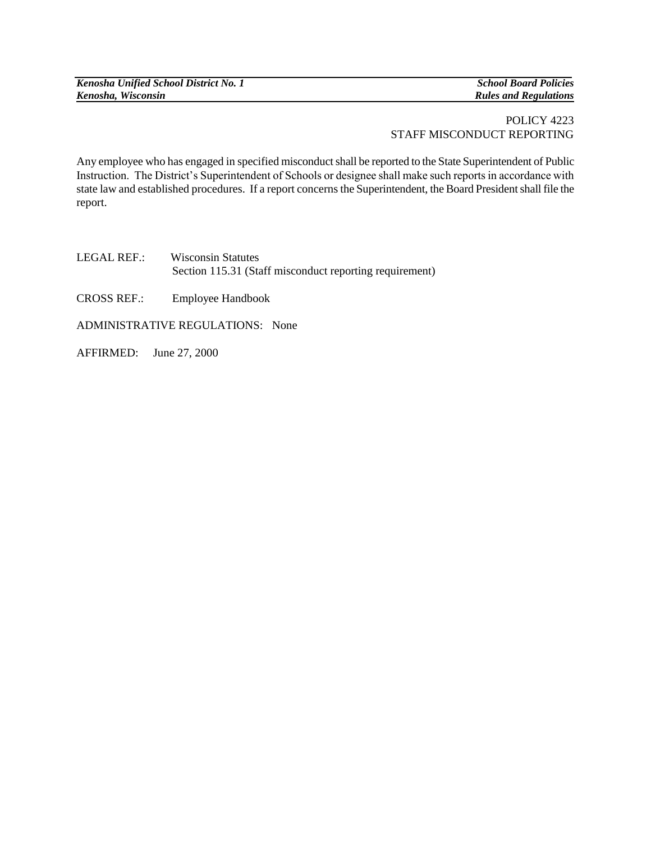*Kenosha Unified School District No. 1 School Board Policies Kenosha, Wisconsin Rules and Regulations*

## POLICY 4223 STAFF MISCONDUCT REPORTING

Any employee who has engaged in specified misconduct shall be reported to the State Superintendent of Public Instruction. The District's Superintendent of Schools or designee shall make such reports in accordance with state law and established procedures. If a report concerns the Superintendent, the Board President shall file the report.

LEGAL REF.:Wisconsin Statutes Section 115.31 (Staff misconduct reporting requirement)

CROSS REF.: Employee Handbook

ADMINISTRATIVE REGULATIONS: None

AFFIRMED: June 27, 2000